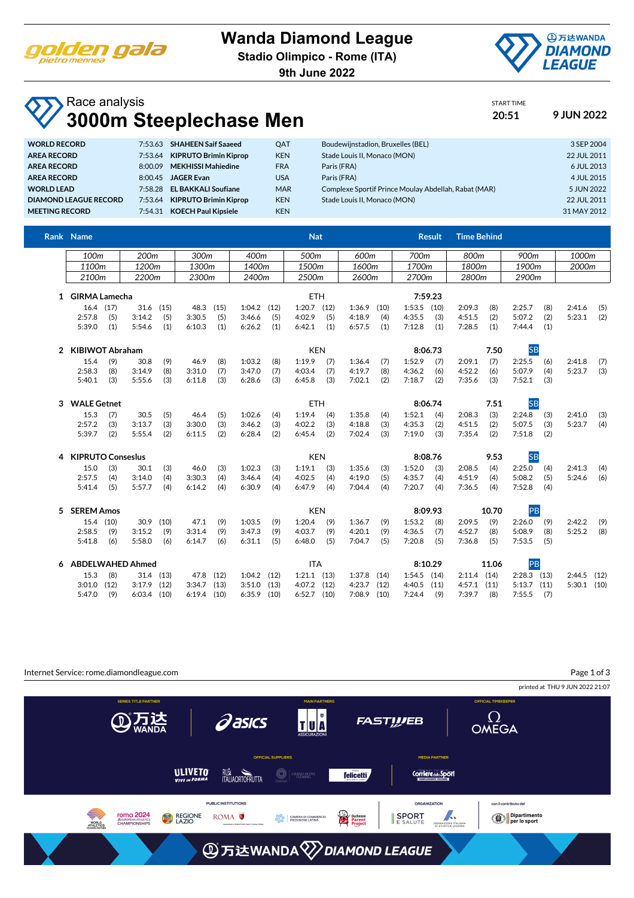

#### **Wanda Diamond League**

**Stadio Olimpico - Rome (ITA)**

**9th June 2022**



START TIME

# Race analysis **3000m Steeplechase Men 20:51 9 JUN 2022**

| <b>WORLD RECORD</b>   |         | 7:53.63 SHAHEEN Saif Saaeed  | <b>OAT</b> | Boudewijnstadion, Bruxelles (BEL)                    | 3 SEP 2004  |
|-----------------------|---------|------------------------------|------------|------------------------------------------------------|-------------|
| <b>AREA RECORD</b>    | 7:53.64 | <b>KIPRUTO Brimin Kiprop</b> | <b>KEN</b> | Stade Louis II, Monaco (MON)                         | 22 JUL 2011 |
| <b>AREA RECORD</b>    | 8:00.09 | <b>MEKHISSI Mahiedine</b>    | <b>FRA</b> | Paris (FRA)                                          | 6 JUL 2013  |
| <b>AREA RECORD</b>    | 8:00.45 | <b>JAGER Evan</b>            | USA        | Paris (FRA)                                          | 4 JUL 2015  |
| <b>WORLD LEAD</b>     | 7:58.28 | <b>EL BAKKALI Soufiane</b>   | <b>MAR</b> | Complexe Sportif Prince Moulay Abdellah, Rabat (MAR) | 5 JUN 2022  |
| DIAMOND LEAGUE RECORD | 7:53.64 | <b>KIPRUTO Brimin Kiprop</b> | <b>KEN</b> | Stade Louis II. Monaco (MON)                         | 22 JUL 2011 |
| <b>MEETING RECORD</b> | 7:54.31 | <b>KOECH Paul Kipsiele</b>   | <b>KEN</b> |                                                      | 31 MAY 2012 |
|                       |         |                              |            |                                                      |             |

|   | Rank Name                |                                              |                         |            |                  |            |                  |            | <b>Nat</b>       |            |                  |                 |                  | <b>Result</b> | <b>Time Behind</b> |            |                  |            |        |      |
|---|--------------------------|----------------------------------------------|-------------------------|------------|------------------|------------|------------------|------------|------------------|------------|------------------|-----------------|------------------|---------------|--------------------|------------|------------------|------------|--------|------|
|   |                          | 200 <sub>m</sub><br>100 <sub>m</sub><br>300m |                         |            |                  |            | 400m<br>500m     |            |                  |            | 600m<br>700m     |                 |                  | 800m          |                    | 900m       |                  | 1000m      |        |      |
|   | 1100m                    |                                              | 1200m                   |            | 1300m            |            | 1400m            |            | 1500m            |            | 1600m            |                 | 1700m            |               | 1800m              |            | 1900m            |            | 2000m  |      |
|   | 2100m                    |                                              | 2200m                   |            | 2300m            |            | 2400m            |            | 2500m            |            | 2600m            |                 | 2700m            |               | 2800m              |            | 2900m            |            |        |      |
|   |                          |                                              |                         |            |                  |            |                  |            |                  |            |                  |                 |                  |               |                    |            |                  |            |        |      |
|   | 1 GIRMA Lamecha          |                                              |                         | <b>ETH</b> |                  |            |                  |            |                  | 7:59.23    |                  |                 |                  |               |                    |            |                  |            |        |      |
|   | 16.4 (17)                |                                              | 31.6                    | (15)       | 48.3             | (15)       | 1:04.2           | (12)       | $1:20.7$ $(12)$  |            | 1:36.9           | (10)            | 1:53.5           | (10)          | 2:09.3             | (8)        | 2:25.7           | (8)        | 2:41.6 | (5)  |
|   | 2:57.8<br>5:39.0         | (5)<br>(1)                                   | 3:14.2<br>5:54.6        | (5)<br>(1) | 3:30.5<br>6:10.3 | (5)<br>(1) | 3:46.6<br>6:26.2 | (5)<br>(1) | 4:02.9<br>6:42.1 | (5)<br>(1) | 4:18.9<br>6:57.5 | (4)<br>(1)      | 4:35.5<br>7:12.8 | (3)<br>(1)    | 4:51.5<br>7:28.5   | (2)<br>(1) | 5:07.2<br>7:44.4 | (2)<br>(1) | 5:23.1 | (2)  |
|   |                          |                                              |                         |            |                  |            |                  |            |                  |            |                  |                 |                  |               |                    |            |                  |            |        |      |
| 2 | <b>KIBIWOT Abraham</b>   |                                              |                         |            |                  | <b>KEN</b> |                  |            |                  |            |                  |                 | 8:06.73          |               | 7.50               | <b>SB</b>  |                  |            |        |      |
|   | 15.4                     | (9)                                          | 30.8                    | (9)        | 46.9             | (8)        | 1:03.2           | (8)        | 1:19.9           | (7)        | 1:36.4           | (7)             | 1:52.9           | (7)           | 2:09.1             | (7)        | 2:25.5           | (6)        | 2:41.8 | (7)  |
|   | 2:58.3                   | (8)                                          | 3:14.9                  | (8)        | 3:31.0           | (7)        | 3:47.0           | (7)        | 4:03.4           | (7)        | 4:19.7           | (8)             | 4:36.2           | (6)           | 4:52.2             | (6)        | 5:07.9           | (4)        | 5:23.7 | (3)  |
|   | 5:40.1                   | (3)                                          | 5:55.6                  | (3)        | 6:11.8           | (3)        | 6:28.6           | (3)        | 6:45.8           | (3)        | 7:02.1           | (2)             | 7:18.7           | (2)           | 7:35.6             | (3)        | 7:52.1           | (3)        |        |      |
| 3 |                          | <b>WALE Getnet</b>                           |                         |            |                  | <b>ETH</b> |                  |            |                  |            |                  | 7.51<br>8:06.74 |                  |               |                    | <b>SB</b>  |                  |            |        |      |
|   | 15.3                     | (7)                                          | 30.5                    | (5)        | 46.4             | (5)        | 1:02.6           | (4)        | 1:19.4           | (4)        | 1:35.8           | (4)             | 1:52.1           | (4)           | 2:08.3             | (3)        | 2:24.8           | (3)        | 2:41.0 | (3)  |
|   | 2:57.2                   | (3)                                          | 3:13.7                  | (3)        | 3:30.0           | (3)        | 3:46.2           | (3)        | 4:02.2           | (3)        | 4:18.8           | (3)             | 4:35.3           | (2)           | 4:51.5             | (2)        | 5:07.5           | (3)        | 5:23.7 | (4)  |
|   | 5:39.7                   | (2)                                          | 5:55.4                  | (2)        | 6:11.5           | (2)        | 6:28.4           | (2)        | 6:45.4           | (2)        | 7:02.4           | (3)             | 7:19.0           | (3)           | 7:35.4             | (2)        | 7:51.8           | (2)        |        |      |
| 4 | <b>KIPRUTO Conseslus</b> |                                              |                         |            |                  |            |                  |            | <b>KEN</b>       |            |                  |                 |                  | 8:08.76       |                    | 9.53       | <b>SB</b>        |            |        |      |
|   | 15.0                     | (3)                                          | 30.1                    | (3)        | 46.0             | (3)        | 1:02.3           | (3)        | 1:19.1           | (3)        | 1:35.6           | (3)             | 1:52.0           | (3)           | 2:08.5             | (4)        | 2:25.0           | (4)        | 2:41.3 | (4)  |
|   | 2:57.5                   | (4)                                          | 3:14.0                  | (4)        | 3:30.3           | (4)        | 3:46.4           | (4)        | 4:02.5           | (4)        | 4:19.0           | (5)             | 4:35.7           | (4)           | 4:51.9             | (4)        | 5:08.2           | (5)        | 5:24.6 | (6)  |
|   | 5:41.4                   | (5)                                          | 5:57.7                  | (4)        | 6:14.2           | (4)        | 6:30.9           | (4)        | 6:47.9           | (4)        | 7:04.4           | (4)             | 7:20.7           | (4)           | 7:36.5             | (4)        | 7:52.8           | (4)        |        |      |
| 5 | <b>SEREM Amos</b>        |                                              |                         |            |                  |            |                  |            | <b>KEN</b>       |            | 8:09.93          |                 |                  | 10.70         |                    | PB         |                  |            |        |      |
|   | 15.4 (10)                |                                              | 30.9                    | (10)       | 47.1             | (9)        | 1:03.5           | (9)        | 1:20.4           | (9)        | 1:36.7           | (9)             | 1:53.2           | (8)           | 2:09.5             | (9)        | 2:26.0           | (9)        | 2:42.2 | (9)  |
|   | 2:58.5                   | (9)                                          | 3:15.2                  | (9)        | 3:31.4           | (9)        | 3:47.3           | (9)        | 4:03.7           | (9)        | 4:20.1           | (9)             | 4:36.5           | (7)           | 4:52.7             | (8)        | 5:08.9           | (8)        | 5:25.2 | (8)  |
|   | 5:41.8                   | (6)                                          | 5:58.0                  | (6)        | 6:14.7           | (6)        | 6:31.1           | (5)        | 6:48.0           | (5)        | 7:04.7           | (5)             | 7:20.8           | (5)           | 7:36.8             | (5)        | 7:53.5           | (5)        |        |      |
| 6 |                          |                                              | <b>ABDELWAHED Ahmed</b> |            |                  |            |                  |            | <b>ITA</b>       |            |                  |                 | 8:10.29          |               |                    | 11.06      | PB               |            |        |      |
|   | 15.3                     | (8)                                          | 31.4                    | (13)       | 47.8             | (12)       | 1:04.2           | (12)       | $1:21.1$ $(13)$  |            | 1:37.8           | (14)            | 1:54.5           | (14)          | 2:11.4             | (14)       | $2:28.3$ (13)    |            | 2:44.5 | (12) |
|   | 3:01.0                   | (12)                                         | 3:17.9                  | (12)       | 3:34.7           | (13)       | 3:51.0           | (13)       | 4:07.2           | (12)       | 4:23.7           | (12)            | 4:40.5           | (11)          | 4:57.1             | (11)       | 5:13.7           | (11)       | 5:30.1 | (10) |
|   | 5:47.0                   | (9)                                          | $6:03.4$ (10)           |            | 6:19.4           | (10)       | 6:35.9           | (10)       | $6:52.7$ (10)    |            | $7:08.9$ (10)    |                 | 7:24.4           | (9)           | 7:39.7             | (8)        | 7:55.5           | (7)        |        |      |

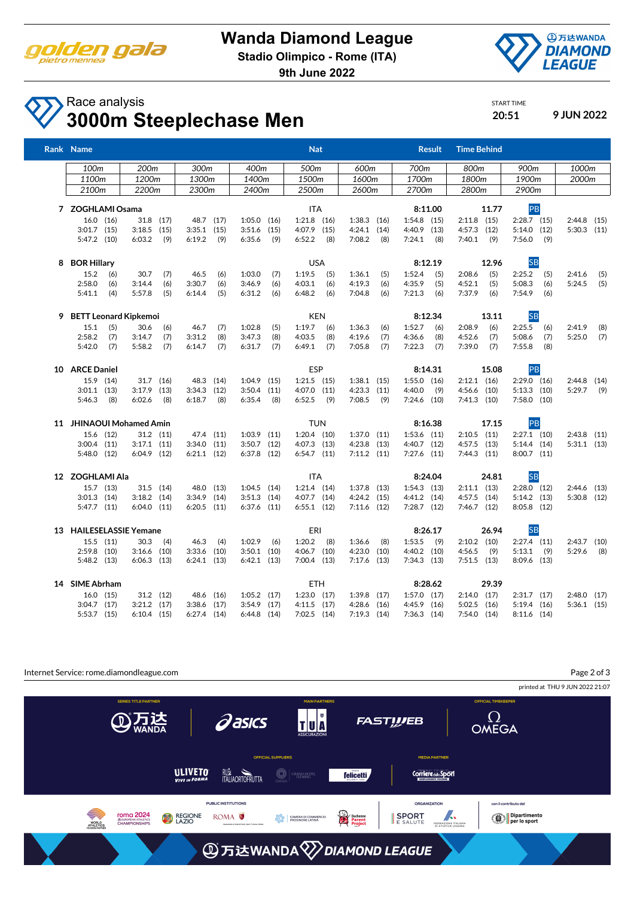

**Stadio Olimpico - Rome (ITA)**

**9th June 2022**



# Race analysis **3000m Steeplechase Men 20:51 9 JUN 2022**

START TIME

|   | Rank Name                        |                          |                 |                        | <b>Nat</b>      |                 | <b>Result</b>   | <b>Time Behind</b> |                 |                 |
|---|----------------------------------|--------------------------|-----------------|------------------------|-----------------|-----------------|-----------------|--------------------|-----------------|-----------------|
|   | 100 <sub>m</sub>                 | 200 <sub>m</sub><br>300m |                 | 400m                   | 500m            | 600m            | 700m            | 800m               | 900m            | 1000m           |
|   | 1100 <sub>m</sub>                | 1200m                    | 1300m           | 1400m                  | 1500m           | 1600m           | 1700m           | 1800m              | 1900m           | 2000m           |
|   | 2100m                            | 2200m                    | 2300m           | 2400m                  | 2500m           | 2600m           | 2700m           | 2800m              | 2900m           |                 |
|   | 7 ZOGHLAMI Osama                 |                          |                 |                        | ITA             |                 | 8:11.00         | 11.77              | PB              |                 |
|   | $16.0$ $(16)$                    | 31.8 (17)                | 48.7 (17)       | 1:05.0<br>(16)         | $1:21.8$ (16)   | $1:38.3$ $(16)$ | $1:54.8$ (15)   | $2:11.8$ (15)      | $2:28.7$ (15)   | $2:44.8$ (15)   |
|   | $3:01.7$ (15)                    | $3:18.5$ (15)            | 3:35.1          | (15)<br>3:51.6<br>(15) | $4:07.9$ $(15)$ | $4:24.1$ $(14)$ | $4:40.9$ $(13)$ | $4:57.3$ $(12)$    | $5:14.0$ $(12)$ | $5:30.3$ $(11)$ |
|   | 5:47.2 (10)                      | 6:03.2                   | (9)<br>6:19.2   | (9)<br>6:35.6<br>(9)   | 6:52.2<br>(8)   | 7:08.2<br>(8)   | (8)<br>7:24.1   | 7:40.1<br>(9)      | 7:56.0<br>(9)   |                 |
| 8 | <b>BOR Hillary</b><br><b>USA</b> |                          |                 |                        |                 |                 | 8:12.19         | 12.96              | <b>SB</b>       |                 |
|   | 15.2<br>(6)                      | 30.7                     | 46.5<br>(7)     | 1:03.0<br>(6)<br>(7)   | 1:19.5<br>(5)   | 1:36.1<br>(5)   | 1:52.4<br>(5)   | 2:08.6<br>(5)      | 2:25.2<br>(5)   | (5)<br>2:41.6   |
|   | 2:58.0<br>(6)                    | 3:14.4                   | 3:30.7<br>(6)   | (6)<br>3:46.9<br>(6)   | 4:03.1<br>(6)   | 4:19.3<br>(6)   | 4:35.9<br>(5)   | 4:52.1<br>(5)      | 5:08.3<br>(6)   | 5:24.5<br>(5)   |
|   | 5:41.1<br>(4)                    | 5:57.8                   | (5)<br>6:14.4   | (5)<br>6:31.2<br>(6)   | 6:48.2<br>(6)   | 7:04.8<br>(6)   | 7:21.3<br>(6)   | 7:37.9<br>(6)      | 7:54.9<br>(6)   |                 |
| 9 | <b>BETT Leonard Kipkemoi</b>     |                          |                 |                        | <b>KEN</b>      |                 | 8:12.34         | 13.11              | <b>SB</b>       |                 |
|   | 15.1<br>(5)                      | 30.6                     | 46.7<br>(6)     | (7)<br>1:02.8<br>(5)   | 1:19.7<br>(6)   | 1:36.3<br>(6)   | 1:52.7<br>(6)   | 2:08.9<br>(6)      | 2:25.5<br>(6)   | 2:41.9<br>(8)   |
|   | 2:58.2<br>(7)                    | 3:14.7                   | (7)<br>3:31.2   | (8)<br>3:47.3<br>(8)   | 4:03.5<br>(8)   | 4:19.6<br>(7)   | 4:36.6<br>(8)   | 4:52.6<br>(7)      | 5:08.6<br>(7)   | 5:25.0<br>(7)   |
|   | (7)<br>5:42.0                    | 5:58.2                   | (7)<br>6:14.7   | (7)<br>6:31.7<br>(7)   | 6:49.1<br>(7)   | 7:05.8<br>(7)   | 7:22.3<br>(7)   | (7)<br>7:39.0      | 7:55.8<br>(8)   |                 |
|   | 10 ARCE Daniel                   |                          |                 | ESP                    |                 | 8:14.31         | 15.08           | PB                 |                 |                 |
|   | 15.9 (14)                        | 31.7 (16)                | 48.3 (14)       | $1:04.9$ (15)          | $1:21.5$ $(15)$ | $1:38.1$ (15)   | $1:55.0$ $(16)$ | $2:12.1$ (16)      | $2:29.0$ $(16)$ | $2:44.8$ (14)   |
|   | $3:01.1$ (13)                    | $3:17.9$ (13)            | 3:34.3<br>(12)  | (11)<br>3:50.4         | 4:07.0 (11)     | (11)<br>4:23.3  | 4:40.0<br>(9)   | $4:56.6$ $(10)$    | $5:13.3$ $(10)$ | $5:29.7$ (9)    |
|   | 5:46.3<br>(8)                    | 6:02.6                   | 6:18.7<br>(8)   | (8)<br>6:35.4<br>(8)   | $6:52.5$ (9)    | 7:08.5<br>(9)   | $7:24.6$ (10)   | $7:41.3$ (10)      | $7:58.0$ (10)   |                 |
|   | 11 JHINAOUI Mohamed Amin         |                          |                 |                        | <b>TUN</b>      |                 | 8:16.38         | 17.15              | PB              |                 |
|   | 15.6 (12)                        | $31.2$ $(11)$            | 47.4 (11)       | $1:03.9$ $(11)$        | $1:20.4$ (10)   | $1:37.0$ $(11)$ | $1:53.6$ $(11)$ | $2:10.5$ (11)      | $2:27.1$ (10)   | $2:43.8$ (11)   |
|   | $3:00.4$ (11)                    | $3:17.1$ $(11)$          | $3:34.0$ $(11)$ | $3:50.7$ $(12)$        | $4:07.3$ $(13)$ | $4:23.8$ $(13)$ | $4:40.7$ (12)   | $4:57.5$ $(13)$    | $5:14.4$ (14)   | $5:31.1$ (13)   |
|   | 5:48.0 (12)                      | $6:04.9$ (12)            | $6:21.1$ $(12)$ | $6:37.8$ (12)          | $6:54.7$ $(11)$ | $7:11.2$ (11)   | $7:27.6$ (11)   | 7:44.3(11)         | $8:00.7$ (11)   |                 |
|   | <b>ITA</b><br>12 ZOGHLAMI Ala    |                          |                 |                        |                 | 8:24.04         | 24.81           | <b>SB</b>          |                 |                 |
|   | 15.7 (13)                        | $31.5$ (14)              | 48.0 (13)       | $1:04.5$ (14)          | $1:21.4$ $(14)$ | $1:37.8$ $(13)$ | $1:54.3$ $(13)$ | $2:11.1$ (13)      | $2:28.0$ (12)   | $2:44.6$ (13)   |
|   | $3:01.3$ (14)                    | $3:18.2$ (14)            | $3:34.9$ (14)   | $3:51.3$ (14)          | 4:07.7 (14)     | $4:24.2$ (15)   | $4:41.2$ (14)   | 4:57.5 (14)        | $5:14.2$ $(13)$ | $5:30.8$ (12)   |
|   | $5:47.7$ $(11)$                  | $6:04.0$ $(11)$          | $6:20.5$ $(11)$ | $6:37.6$ $(11)$        | $6:55.1$ (12)   | $7:11.6$ (12)   | $7:28.7$ (12)   | $7:46.7$ (12)      | $8:05.8$ (12)   |                 |
|   | 13 HAILESELASSIE Yemane          |                          |                 |                        | ERI             |                 | 8:26.17         | 26.94              | <b>SB</b>       |                 |
|   | $15.5$ $(11)$                    | 30.3                     | (4)<br>46.3     | (4)<br>1:02.9<br>(6)   | $1:20.2$ (8)    | 1:36.6<br>(8)   | 1:53.5<br>(9)   | $2:10.2$ (10)      | $2:27.4$ (11)   | $2:43.7$ (10)   |
|   | $2:59.8$ (10)                    | $3:16.6$ (10)            | 3:33.6          | $3:50.1$ (10)<br>(10)  | $4:06.7$ $(10)$ | 4:23.0<br>(10)  | $4:40.2$ (10)   | (9)<br>4:56.5      | 5:13.1<br>(9)   | 5:29.6<br>(8)   |
|   | $5:48.2$ (13)                    | $6:06.3$ (13)            | $6:24.1$ $(13)$ | $6:42.1$ $(13)$        | $7:00.4$ (13)   | $7:17.6$ (13)   | $7:34.3$ $(13)$ | $7:51.5$ (13)      | 8:09.6 (13)     |                 |
|   | 14 SIME Abrham                   |                          |                 |                        | <b>ETH</b>      |                 | 8:28.62         | 29.39              |                 |                 |
|   | $16.0$ (15)                      | 31.2 (12)                | 48.6 (16)       | $1:05.2$ (17)          | $1:23.0$ $(17)$ | $1:39.8$ (17)   | $1:57.0$ $(17)$ | $2:14.0$ (17)      | $2:31.7$ (17)   | $2:48.0$ (17)   |
|   | $3:04.7$ (17)                    | $3:21.2$ (17)            | 3:38.6<br>(17)  | 3:54.9<br>(17)         | $4:11.5$ $(17)$ | $4:28.6$ (16)   | 4:45.9 (16)     | $5:02.5$ (16)      | $5:19.4$ (16)   | $5:36.1$ (15)   |
|   | $5:53.7$ $(15)$                  | $6:10.4$ (15)            | $6:27.4$ $(14)$ | $6:44.8$ (14)          | $7:02.5$ (14)   | $7:19.3$ (14)   | $7:36.3$ (14)   | $7:54.0$ (14)      | $8:11.6$ (14)   |                 |

Page 2 of 3Internet Service: rome.diamondleague.com printed at THU 9 JUN 2022 21:07 TU<sup>N</sup>  $\Omega$ **④万达 Pasics FASTIVEB OMEGA MEDIA PARTNER ULIVETO RUM**<br>ITALIAORTOFRUTTA  $\bigcirc \mid$ grand hotel **felicetti** Corriere<sub>ddo</sub>Sport PUBLIC INSTITUTIONS ORGANIZATION con il contributo del **TOMA 2024**<br> **SEUROPEAN ATHLETICS**<br>
CHAMPIONSHIPS Duchenne<br>Parent<br>Project FEDERAZIONE ITALIANA Ş **I**Dipartimento ROMA<sup>O</sup> SPORT REGIONE **COLOR** CAMERA DI COMME WORLD<br>ATHLETICS **AD 万达WANDA 2 DIAMOND LEAGUE**